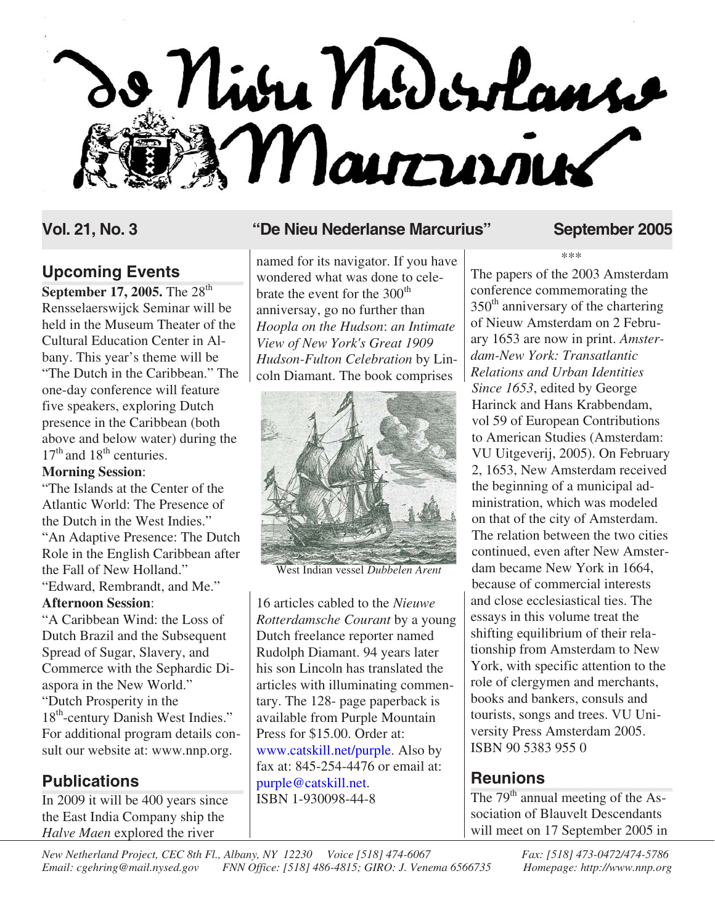

## **Upcoming Events**

**September 17, 2005.** The 28<sup>th</sup> Rensselaerswijck Seminar will be held in the Museum Theater of the Cultural Education Center in Albany. This year's theme will be "The Dutch in the Caribbean." The one-day conference will feature five speakers, exploring Dutch presence in the Caribbean (both above and below water) during the  $17<sup>th</sup>$  and  $18<sup>th</sup>$  centuries.

#### **Morning Session**:

"The Islands at the Center of the Atlantic World: The Presence of the Dutch in the West Indies." "An Adaptive Presence: The Dutch Role in the English Caribbean after the Fall of New Holland." "Edward, Rembrandt, and Me."

#### **Afternoon Session**:

"A Caribbean Wind: the Loss of Dutch Brazil and the Subsequent Spread of Sugar, Slavery, and Commerce with the Sephardic Diaspora in the New World." "Dutch Prosperity in the 18<sup>th</sup>-century Danish West Indies." For additional program details consult our website at: www.nnp.org.

## **Publications**

In 2009 it will be 400 years since the East India Company ship the *Halve Maen* explored the river

### **Vol. 21, No. 3 "De Nieu Nederlanse Marcurius" September 2005**

named for its navigator. If you have wondered what was done to celebrate the event for the 300<sup>th</sup> anniversay, go no further than *Hoopla on the Hudson*: *an Intimate View of New York's Great 1909 Hudson-Fulton Celebration* by Lincoln Diamant. The book comprises



West Indian vessel *Dubbelen Arent*

16 articles cabled to the *Nieuwe Rotterdamsche Courant* by a young Dutch freelance reporter named Rudolph Diamant. 94 years later his son Lincoln has translated the articles with illuminating commentary. The 128- page paperback is available from Purple Mountain Press for \$15.00. Order at: [www.catskill.net/purple.](http://www.catskill.net/purple) Also by fax at: 845-254-4476 or email at: [purple@catskill.net.](mailto:purple@catskill.net) ISBN 1-930098-44-8

\*\*\*

The papers of the 2003 Amsterdam conference commemorating the  $350<sup>th</sup>$  anniversary of the chartering of Nieuw Amsterdam on 2 February 1653 are now in print. *Amsterdam-New York: Transatlantic Relations and Urban Identities Since 1653*, edited by George Harinck and Hans Krabbendam, vol 59 of European Contributions to American Studies (Amsterdam: VU Uitgeverij, 2005). On February 2, 1653, New Amsterdam received the beginning of a municipal administration, which was modeled on that of the city of Amsterdam. The relation between the two cities continued, even after New Amsterdam became New York in 1664, because of commercial interests and close ecclesiastical ties. The essays in this volume treat the shifting equilibrium of their relationship from Amsterdam to New York, with specific attention to the role of clergymen and merchants, books and bankers, consuls and tourists, songs and trees. VU University Press Amsterdam 2005. ISBN 90 5383 955 0

## **Reunions**

The  $79<sup>th</sup>$  annual meeting of the Association of Blauvelt Descendants will meet on 17 September 2005 in

*New Netherland Project, CEC 8th Fl., Albany, NY 12230 Voice [518] 474-6067 Fax: [518] 473-0472/474-5786*<br>*Email: cgehring@mail.nysed.gov* FNN Office: [518] 486-4815; GIRO: J. Venema 6566735 *Homepage: http://www.nnp.org Email: cgehring@mail.nysed.gov FNN Office: [518] 486-4815; GIRO: J. Venema 6566735 Homepage: http://www.nnp.org*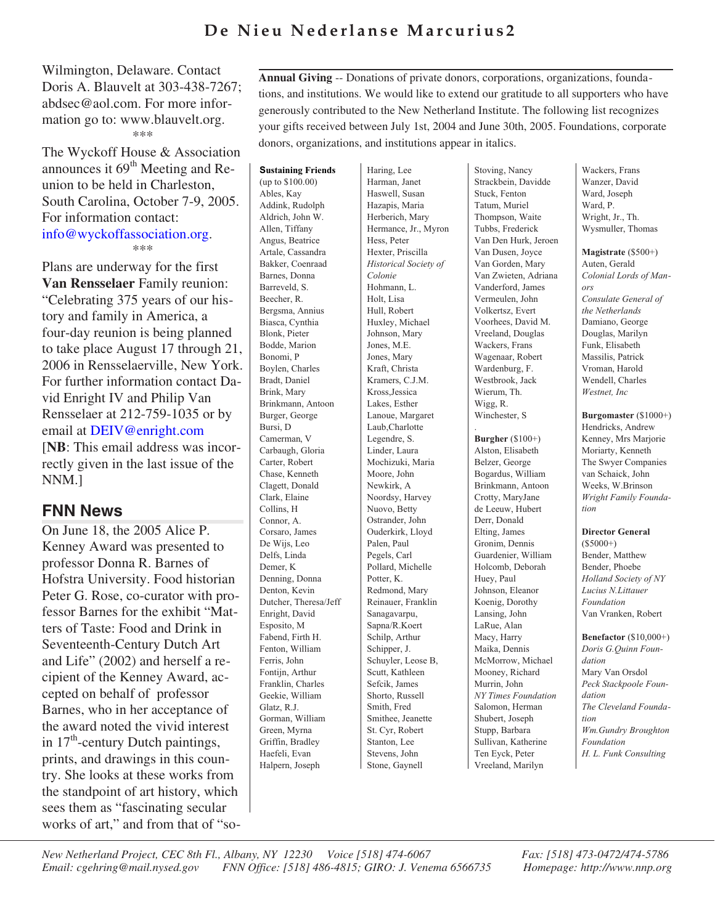## **De Nieu Nederlanse Marcurius2**

Wilmington, Delaware. Contact Doris A. Blauvelt at 303-438-7267; abdsec@aol.com. For more information go to: www.blauvelt.org. \*\*\*

The Wyckoff House & Association announces it  $69<sup>th</sup>$  Meeting and Reunion to be held in Charleston, South Carolina, October 7-9, 2005. For information contact: [info@wyckoffassociation.org](mailto:info@wyckoffassociation.org). \*\*\*

Plans are underway for the first **Van Rensselaer** Family reunion: "Celebrating 375 years of our history and family in America, a four-day reunion is being planned to take place August 17 through 21, 2006 in Rensselaerville, New York. For further information contact David Enright IV and Philip Van Rensselaer at 212-759-1035 or by email at [DEIV@enright.com](mailto:deiv@enright.com) [**NB**: This email address was incorrectly given in the last issue of the NNM.]

## **FNN News**

On June 18, the 2005 Alice P. Kenney Award was presented to professor Donna R. Barnes of Hofstra University. Food historian Peter G. Rose, co-curator with professor Barnes for the exhibit "Matters of Taste: Food and Drink in Seventeenth-Century Dutch Art and Life" (2002) and herself a recipient of the Kenney Award, accepted on behalf of professor Barnes, who in her acceptance of the award noted the vivid interest in  $17<sup>th</sup>$ -century Dutch paintings, prints, and drawings in this country. She looks at these works from the standpoint of art history, which sees them as "fascinating secular works of art," and from that of "so**Annual Giving** -- Donations of private donors, corporations, organizations, foundations, and institutions. We would like to extend our gratitude to all supporters who have generously contributed to the New Netherland Institute. The following list recognizes your gifts received between July 1st, 2004 and June 30th, 2005. Foundations, corporate donors, organizations, and institutions appear in italics.

**Sustaining Friends** (up to \$100.00) Ables, Kay Addink, Rudolph Aldrich, John W. Allen, Tiffany Angus, Beatrice Artale, Cassandra Bakker, Coenraad Barnes, Donna Barreveld, S. Beecher, R. Bergsma, Annius Biasca, Cynthia Blonk, Pieter Bodde, Marion Bonomi, P Boylen, Charles Bradt, Daniel Brink, Mary Brinkmann, Antoon Burger, George Bursi, D Camerman, V Carbaugh, Gloria Carter, Robert Chase, Kenneth Clagett, Donald Clark, Elaine Collins, H Connor, A. Corsaro, James De Wijs, Leo Delfs, Linda Demer, K Denning, Donna Denton, Kevin Dutcher, Theresa/Jeff Enright, David Esposito, M Fabend, Firth H. Fenton, William Ferris, John Fontijn, Arthur Franklin, Charles Geekie, William Glatz, R.J. Gorman, William Green, Myrna Griffin, Bradley Haefeli, Evan Halpern, Joseph

Haring, Lee Harman, Janet Haswell, Susan Hazapis, Maria Herberich, Mary Hermance, Jr., Myron Hess, Peter Hexter, Priscilla *Historical Society of Colonie* Hohmann, L. Holt, Lisa Hull, Robert Huxley, Michael Johnson, Mary Jones, M.E. Jones, Mary Kraft, Christa Kramers, C.J.M. Kross,Jessica Lakes, Esther Lanoue, Margaret Laub,Charlotte Legendre, S. Linder, Laura Mochizuki, Maria Moore, John Newkirk, A Noordsy, Harvey Nuovo, Betty Ostrander, John Ouderkirk, Lloyd Palen, Paul Pegels, Carl Pollard, Michelle Potter, K. Redmond, Mary Reinauer, Franklin Sanagavarpu, Sapna/R.Koert Schilp, Arthur Schipper, J. Schuyler, Leose B, Scutt, Kathleen Sefcik, James Shorto, Russell Smith, Fred Smithee, Jeanette St. Cyr, Robert Stanton, Lee Stevens, John Stone, Gaynell

Stoving, Nancy Strackbein, Davidde Stuck, Fenton Tatum, Muriel Thompson, Waite Tubbs, Frederick Van Den Hurk, Jeroen Van Dusen, Joyce Van Gorden, Mary Van Zwieten, Adriana Vanderford, James Vermeulen, John Volkertsz, Evert Voorhees, David M. Vreeland, Douglas Wackers, Frans Wagenaar, Robert Wardenburg, F. Westbrook, Jack Wierum, Th. Wigg, R. Winchester, S **Burgher** (\$100+) Alston, Elisabeth Belzer, George Bogardus, William Brinkmann, Antoon Crotty, MaryJane de Leeuw, Hubert Derr, Donald

.

Elting, James Gronim, Dennis Guardenier, William Holcomb, Deborah Huey, Paul Johnson, Eleanor Koenig, Dorothy Lansing, John LaRue, Alan Macy, Harry Maika, Dennis McMorrow, Michael Mooney, Richard Murrin, John *NY Times Foundation* Salomon, Herman Shubert, Joseph Stupp, Barbara Sullivan, Katherine Ten Eyck, Peter Vreeland, Marilyn

Wackers, Frans Wanzer, David Ward, Joseph Ward, P. Wright, Jr., Th. Wysmuller, Thomas

**Magistrate** (\$500+) Auten, Gerald *Colonial Lords of Manors Consulate General of the Netherlands* Damiano, George Douglas, Marilyn Funk, Elisabeth Massilis, Patrick Vroman, Harold Wendell, Charles *Westnet, Inc*

**Burgomaster** (\$1000+) Hendricks, Andrew Kenney, Mrs Marjorie Moriarty, Kenneth The Swyer Companies van Schaick, John Weeks, W.Brinson *Wright Family Foundation*

#### **Director General**

 $(S5000+)$ Bender, Matthew Bender, Phoebe *Holland Society of NY Lucius N.Littauer Foundation* Van Vranken, Robert

**Benefactor** (\$10,000+) *Doris G.Quinn Foundation* Mary Van Orsdol *Peck Stackpoole Foundation The Cleveland Foundation Wm.Gundry Broughton Foundation H. L. Funk Consulting*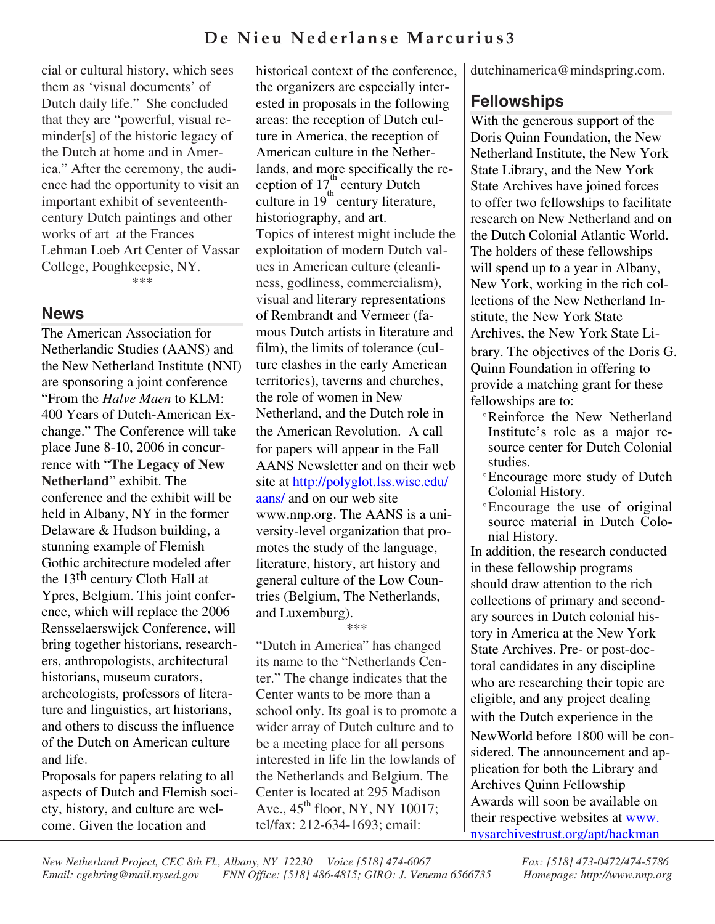## **De Nieu Nederlanse Marcurius3**

cial or cultural history, which sees them as 'visual documents' of Dutch daily life." She concluded that they are "powerful, visual reminder[s] of the historic legacy of the Dutch at home and in America." After the ceremony, the audience had the opportunity to visit an important exhibit of seventeenthcentury Dutch paintings and other works of art at the Frances Lehman Loeb Art Center of Vassar College, Poughkeepsie, NY.

\*\*\*

#### **News**

The American Association for Netherlandic Studies (AANS) and the New Netherland Institute (NNI) are sponsoring a joint conference "From the *Halve Maen* to KLM: 400 Years of Dutch-American Exchange." The Conference will take place June 8-10, 2006 in concurrence with "**The Legacy of New Netherland**" exhibit. The conference and the exhibit will be held in Albany, NY in the former Delaware & Hudson building, a stunning example of Flemish Gothic architecture modeled after the 13th century Cloth Hall at Ypres, Belgium. This joint conference, which will replace the 2006 Rensselaerswijck Conference, will bring together historians, researchers, anthropologists, architectural historians, museum curators, archeologists, professors of literature and linguistics, art historians, and others to discuss the influence of the Dutch on American culture and life.

Proposals for papers relating to all aspects of Dutch and Flemish society, history, and culture are welcome. Given the location and

historical context of the conference, the organizers are especially interested in proposals in the following areas: the reception of Dutch culture in America, the reception of American culture in the Netherlands, and more specifically the reception of  $17<sub>t</sub><sup>th</sup>$  century Dutch culture in  $19<sup>th</sup>$  century literature, historiography, and art. Topics of interest might include the exploitation of modern Dutch values in American culture (cleanliness, godliness, commercialism), visual and literary representations of Rembrandt and Vermeer (famous Dutch artists in literature and film), the limits of tolerance (culture clashes in the early American territories), taverns and churches, the role of women in New Netherland, and the Dutch role in the American Revolution. A call for papers will appear in the Fall AANS Newsletter and on their web site at [http://polyglot.lss.wisc.edu/](http://polyglot.lss.wisc.edu/aans/) aans/ and on our web site www.nnp.org. The AANS is a university-level organization that promotes the study of the language, literature, history, art history and general culture of the Low Countries (Belgium, The Netherlands, and Luxemburg).

\*\*\*

"Dutch in America" has changed its name to the "Netherlands Center." The change indicates that the Center wants to be more than a school only. Its goal is to promote a wider array of Dutch culture and to be a meeting place for all persons interested in life lin the lowlands of the Netherlands and Belgium. The Center is located at 295 Madison Ave.,  $45<sup>th</sup>$  floor, NY, NY 10017; tel/fax: 212-634-1693; email:

dutchinamerica@mindspring.com.

## **Fellowships**

With the generous support of the Doris Quinn Foundation, the New Netherland Institute, the New York State Library, and the New York State Archives have joined forces to offer two fellowships to facilitate research on New Netherland and on the Dutch Colonial Atlantic World. The holders of these fellowships will spend up to a year in Albany, New York, working in the rich collections of the New Netherland Institute, the New York State Archives, the New York State Library. The objectives of the Doris G. Quinn Foundation in offering to provide a matching grant for these fellowships are to:

- **°**Reinforce the New Netherland Institute's role as a major resource center for Dutch Colonial studies.
- **°**Encourage more study of Dutch Colonial History.
- **°**Encourage the use of original source material in Dutch Colonial History.

In addition, the research conducted in these fellowship programs should draw attention to the rich collections of primary and secondary sources in Dutch colonial history in America at the New York State Archives. Pre- or post-doctoral candidates in any discipline who are researching their topic are eligible, and any project dealing with the Dutch experience in the NewWorld before 1800 will be considered. The announcement and application for both the Library and Archives Quinn Fellowship Awards will soon be available on their respective websites at www. [nysarchivestrust.org/apt/hackman](http://www.nysarchivestrust.org/apt/hackman)

*New Netherland Project, CEC 8th Fl., Albany, NY 12230 Voice [518] 474-6067 Fax: [518] 473-0472/474-5786*<br>*Email: cgehring@mail.nysed.gov FNN Office: [518] 486-4815; GIRO: J. Venema 6566735 <i>Homepage: http://www.nnp.or Email: cgehring@mail.nysed.gov FNN Office: [518] 486-4815; GIRO: J. Venema 6566735 Homepage: http://www.nnp.org*